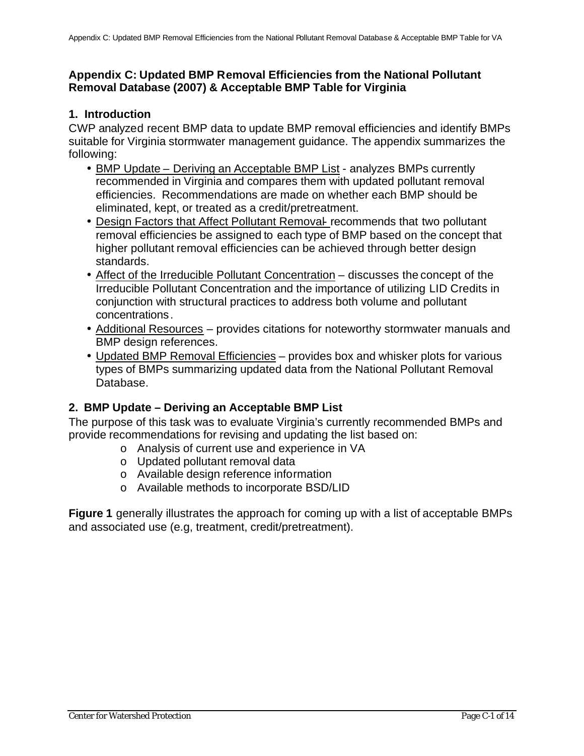### **Appendix C: Updated BMP Removal Efficiencies from the National Pollutant Removal Database (2007) & Acceptable BMP Table for Virginia**

### **1. Introduction**

CWP analyzed recent BMP data to update BMP removal efficiencies and identify BMPs suitable for Virginia stormwater management guidance. The appendix summarizes the following:

- BMP Update Deriving an Acceptable BMP List analyzes BMPs currently recommended in Virginia and compares them with updated pollutant removal efficiencies. Recommendations are made on whether each BMP should be eliminated, kept, or treated as a credit/pretreatment.
- Design Factors that Affect Pollutant Removal- recommends that two pollutant removal efficiencies be assigned to each type of BMP based on the concept that higher pollutant removal efficiencies can be achieved through better design standards.
- Affect of the Irreducible Pollutant Concentration discusses the concept of the Irreducible Pollutant Concentration and the importance of utilizing LID Credits in conjunction with structural practices to address both volume and pollutant concentrations.
- Additional Resources provides citations for noteworthy stormwater manuals and BMP design references.
- Updated BMP Removal Efficiencies provides box and whisker plots for various types of BMPs summarizing updated data from the National Pollutant Removal Database.

# **2. BMP Update – Deriving an Acceptable BMP List**

The purpose of this task was to evaluate Virginia's currently recommended BMPs and provide recommendations for revising and updating the list based on:

- o Analysis of current use and experience in VA
- o Updated pollutant removal data
- o Available design reference information
- o Available methods to incorporate BSD/LID

**Figure 1** generally illustrates the approach for coming up with a list of acceptable BMPs and associated use (e.g, treatment, credit/pretreatment).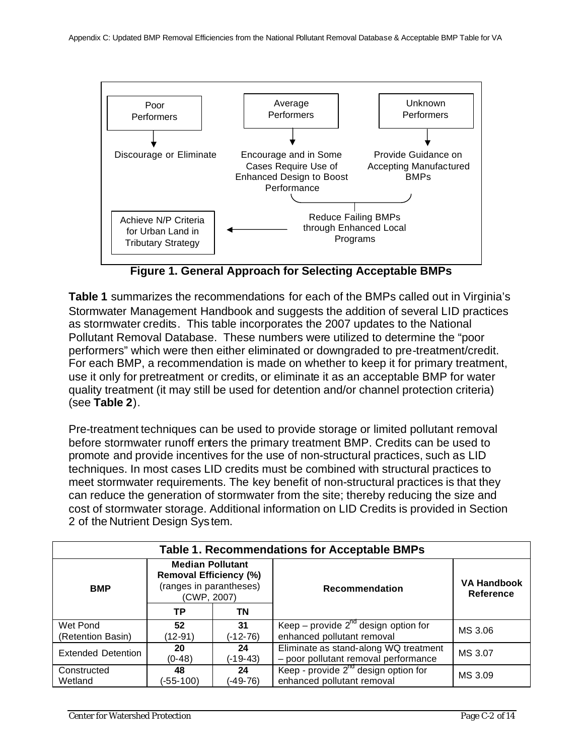

**Figure 1. General Approach for Selecting Acceptable BMPs**

**Table 1** summarizes the recommendations for each of the BMPs called out in Virginia's Stormwater Management Handbook and suggests the addition of several LID practices as stormwater credits. This table incorporates the 2007 updates to the National Pollutant Removal Database. These numbers were utilized to determine the "poor performers" which were then either eliminated or downgraded to pre-treatment/credit. For each BMP, a recommendation is made on whether to keep it for primary treatment, use it only for pretreatment or credits, or eliminate it as an acceptable BMP for water quality treatment (it may still be used for detention and/or channel protection criteria) (see **Table 2**).

Pre-treatment techniques can be used to provide storage or limited pollutant removal before stormwater runoff enters the primary treatment BMP. Credits can be used to promote and provide incentives for the use of non-structural practices, such as LID techniques. In most cases LID credits must be combined with structural practices to meet stormwater requirements. The key benefit of non-structural practices is that they can reduce the generation of stormwater from the site; thereby reducing the size and cost of stormwater storage. Additional information on LID Credits is provided in Section 2 of the Nutrient Design System.

| <b>Table 1. Recommendations for Acceptable BMPs</b> |                                                                                                    |                  |                                                                                          |                                        |  |
|-----------------------------------------------------|----------------------------------------------------------------------------------------------------|------------------|------------------------------------------------------------------------------------------|----------------------------------------|--|
| <b>BMP</b>                                          | <b>Median Pollutant</b><br><b>Removal Efficiency (%)</b><br>(ranges in parantheses)<br>(CWP, 2007) |                  | <b>Recommendation</b>                                                                    | <b>VA Handbook</b><br><b>Reference</b> |  |
|                                                     | ΤP                                                                                                 | ΤN               |                                                                                          |                                        |  |
| Wet Pond                                            | 52                                                                                                 | 31               | Keep – provide $2^{nd}$ design option for                                                | MS 3.06                                |  |
| (Retention Basin)                                   | (12-91)                                                                                            | (-12-76)         | enhanced pollutant removal                                                               |                                        |  |
| <b>Extended Detention</b>                           | 20<br>$(0-48)$                                                                                     | 24<br>$(-19-43)$ | Eliminate as stand-along WQ treatment<br>MS 3.07<br>- poor pollutant removal performance |                                        |  |
| Constructed<br>Wetland                              | 48<br>(-55-100)                                                                                    | 24<br>(-49-76)   | Keep - provide $2^{n\alpha}$ design option for<br>enhanced pollutant removal             | MS 3.09                                |  |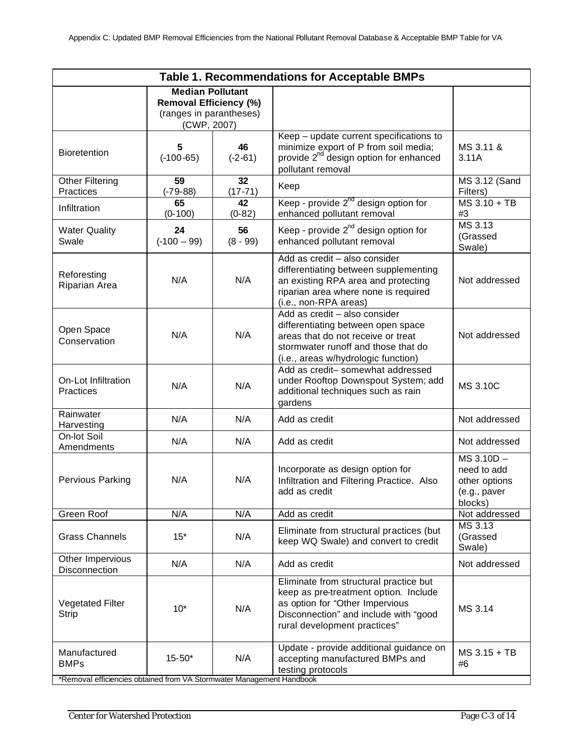| Table 1. Recommendations for Acceptable BMPs                                                         |                                                                                                    |                   |                                                                                                                                                                                             |                                                                       |
|------------------------------------------------------------------------------------------------------|----------------------------------------------------------------------------------------------------|-------------------|---------------------------------------------------------------------------------------------------------------------------------------------------------------------------------------------|-----------------------------------------------------------------------|
|                                                                                                      | <b>Median Pollutant</b><br><b>Removal Efficiency (%)</b><br>(ranges in parantheses)<br>(CWP, 2007) |                   |                                                                                                                                                                                             |                                                                       |
| Bioretention                                                                                         | 5<br>$(-100 - 65)$                                                                                 | 46<br>$(-2-61)$   | Keep - update current specifications to<br>minimize export of P from soil media;<br>provide 2 <sup>nd</sup> design option for enhanced<br>pollutant removal                                 | MS 3.11 &<br>3.11A                                                    |
| <b>Other Filtering</b><br>Practices                                                                  | 59<br>$(-79-88)$                                                                                   | 32<br>$(17 - 71)$ | Keep                                                                                                                                                                                        | MS 3.12 (Sand<br>Filters)                                             |
| Infiltration                                                                                         | 65<br>$(0-100)$                                                                                    | 42<br>$(0-82)$    | Keep - provide $2^{nd}$ design option for<br>enhanced pollutant removal                                                                                                                     | $MS$ 3.10 + TB<br>#3                                                  |
| <b>Water Quality</b><br>Swale                                                                        | 24<br>$(-100 - 99)$                                                                                | 56<br>$(8 - 99)$  | Keep - provide $2^{nd}$ design option for<br>enhanced pollutant removal                                                                                                                     | MS 3.13<br>(Grassed<br>Swale)                                         |
| Reforesting<br>Riparian Area                                                                         | N/A                                                                                                | N/A               | Add as credit - also consider<br>differentiating between supplementing<br>an existing RPA area and protecting<br>riparian area where none is required<br>(i.e., non-RPA areas)              | Not addressed                                                         |
| Open Space<br>Conservation                                                                           | N/A                                                                                                | N/A               | Add as credit - also consider<br>differentiating between open space<br>areas that do not receive or treat<br>stormwater runoff and those that do<br>(i.e., areas w/hydrologic function)     | Not addressed                                                         |
| On-Lot Infiltration<br>Practices                                                                     | N/A                                                                                                | N/A               | Add as credit- somewhat addressed<br>under Rooftop Downspout System; add<br>additional techniques such as rain<br>gardens                                                                   | MS 3.10C                                                              |
| Rainwater<br>Harvesting                                                                              | N/A                                                                                                | N/A               | Add as credit                                                                                                                                                                               | Not addressed                                                         |
| On-lot Soil<br>Amendments                                                                            | N/A                                                                                                | N/A               | Add as credit                                                                                                                                                                               | Not addressed                                                         |
| Pervious Parking                                                                                     | N/A                                                                                                | N/A               | Incorporate as design option for<br>Infiltration and Filtering Practice. Also<br>add as credit                                                                                              | MS 3.10D -<br>need to add<br>other options<br>(e.g., paver<br>blocks) |
| Green Roof                                                                                           | N/A                                                                                                | N/A               | Add as credit                                                                                                                                                                               | Not addressed                                                         |
| <b>Grass Channels</b>                                                                                | $15*$                                                                                              | N/A               | Eliminate from structural practices (but<br>keep WQ Swale) and convert to credit                                                                                                            | MS 3.13<br>(Grassed<br>Swale)                                         |
| Other Impervious<br>Disconnection                                                                    | N/A                                                                                                | N/A               | Add as credit                                                                                                                                                                               | Not addressed                                                         |
| <b>Vegetated Filter</b><br><b>Strip</b>                                                              | $10*$                                                                                              | N/A               | Eliminate from structural practice but<br>keep as pre-treatment option. Include<br>as option for "Other Impervious<br>Disconnection" and include with "good<br>rural development practices" | MS 3.14                                                               |
| Manufactured<br><b>BMPs</b><br>*Removal efficiencies obtained from VA Stormwater Management Handbook | $15 - 50*$                                                                                         | N/A               | Update - provide additional guidance on<br>accepting manufactured BMPs and<br>testing protocols                                                                                             | $MS$ 3.15 + TB<br>#6                                                  |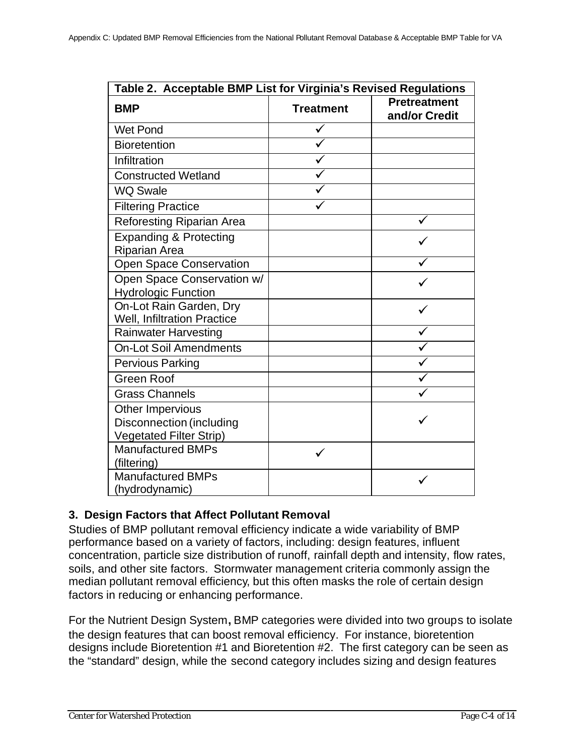| Table 2. Acceptable BMP List for Virginia's Revised Regulations |                  |                                      |  |
|-----------------------------------------------------------------|------------------|--------------------------------------|--|
| <b>BMP</b>                                                      | <b>Treatment</b> | <b>Pretreatment</b><br>and/or Credit |  |
| <b>Wet Pond</b>                                                 |                  |                                      |  |
| <b>Bioretention</b>                                             |                  |                                      |  |
| Infiltration                                                    |                  |                                      |  |
| <b>Constructed Wetland</b>                                      |                  |                                      |  |
| <b>WQ Swale</b>                                                 |                  |                                      |  |
| <b>Filtering Practice</b>                                       |                  |                                      |  |
| <b>Reforesting Riparian Area</b>                                |                  |                                      |  |
| <b>Expanding &amp; Protecting</b><br><b>Riparian Area</b>       |                  |                                      |  |
| <b>Open Space Conservation</b>                                  |                  |                                      |  |
| Open Space Conservation w/                                      |                  |                                      |  |
| <b>Hydrologic Function</b><br>On-Lot Rain Garden, Dry           |                  |                                      |  |
| <b>Well, Infiltration Practice</b>                              |                  |                                      |  |
| <b>Rainwater Harvesting</b>                                     |                  |                                      |  |
| <b>On-Lot Soil Amendments</b>                                   |                  |                                      |  |
| <b>Pervious Parking</b>                                         |                  |                                      |  |
| <b>Green Roof</b>                                               |                  |                                      |  |
| <b>Grass Channels</b>                                           |                  |                                      |  |
| Other Impervious                                                |                  |                                      |  |
| <b>Disconnection (including</b>                                 |                  |                                      |  |
| <b>Vegetated Filter Strip)</b>                                  |                  |                                      |  |
| <b>Manufactured BMPs</b><br>(filtering)                         |                  |                                      |  |
| <b>Manufactured BMPs</b>                                        |                  |                                      |  |
| (hydrodynamic)                                                  |                  |                                      |  |

### **3. Design Factors that Affect Pollutant Removal**

Studies of BMP pollutant removal efficiency indicate a wide variability of BMP performance based on a variety of factors, including: design features, influent concentration, particle size distribution of runoff, rainfall depth and intensity, flow rates, soils, and other site factors. Stormwater management criteria commonly assign the median pollutant removal efficiency, but this often masks the role of certain design factors in reducing or enhancing performance.

For the Nutrient Design System**,** BMP categories were divided into two groups to isolate the design features that can boost removal efficiency. For instance, bioretention designs include Bioretention #1 and Bioretention #2. The first category can be seen as the "standard" design, while the second category includes sizing and design features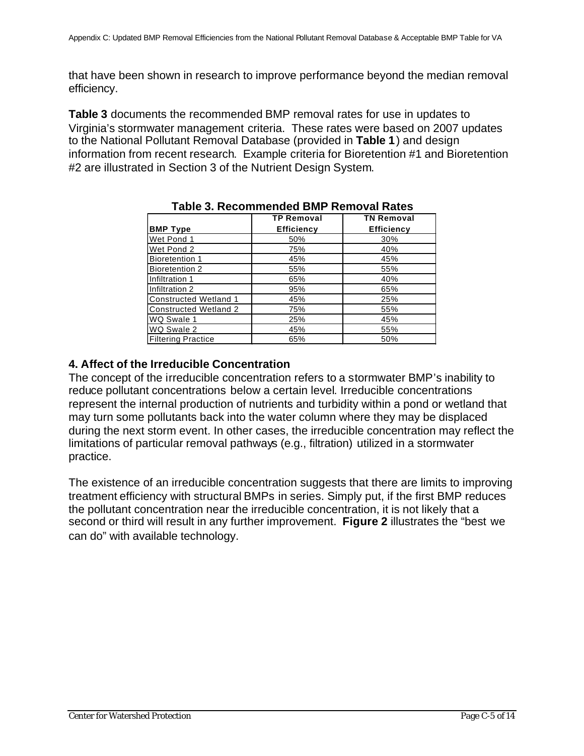that have been shown in research to improve performance beyond the median removal efficiency.

**Table 3** documents the recommended BMP removal rates for use in updates to Virginia's stormwater management criteria. These rates were based on 2007 updates to the National Pollutant Removal Database (provided in **Table 1**) and design information from recent research. Example criteria for Bioretention #1 and Bioretention #2 are illustrated in Section 3 of the Nutrient Design System.

|                              | <b>TP Removal</b> | <b>TN Removal</b> |
|------------------------------|-------------------|-------------------|
| <b>BMP Type</b>              | <b>Efficiency</b> | <b>Efficiency</b> |
| Wet Pond 1                   | 50%               | 30%               |
| Wet Pond 2                   | 75%               | 40%               |
| <b>Bioretention 1</b>        | 45%               | 45%               |
| Bioretention 2               | 55%               | 55%               |
| Infiltration 1               | 65%               | 40%               |
| Infiltration 2               | 95%               | 65%               |
| <b>Constructed Wetland 1</b> | 45%               | 25%               |
| <b>Constructed Wetland 2</b> | 75%               | 55%               |
| WQ Swale 1                   | 25%               | 45%               |
| WQ Swale 2                   | 45%               | 55%               |
| <b>Filtering Practice</b>    | 65%               | 50%               |

### **Table 3. Recommended BMP Removal Rates**

### **4. Affect of the Irreducible Concentration**

The concept of the irreducible concentration refers to a stormwater BMP's inability to reduce pollutant concentrations below a certain level. Irreducible concentrations represent the internal production of nutrients and turbidity within a pond or wetland that may turn some pollutants back into the water column where they may be displaced during the next storm event. In other cases, the irreducible concentration may reflect the limitations of particular removal pathways (e.g., filtration) utilized in a stormwater practice.

The existence of an irreducible concentration suggests that there are limits to improving treatment efficiency with structural BMPs in series. Simply put, if the first BMP reduces the pollutant concentration near the irreducible concentration, it is not likely that a second or third will result in any further improvement. **Figure 2** illustrates the "best we can do" with available technology.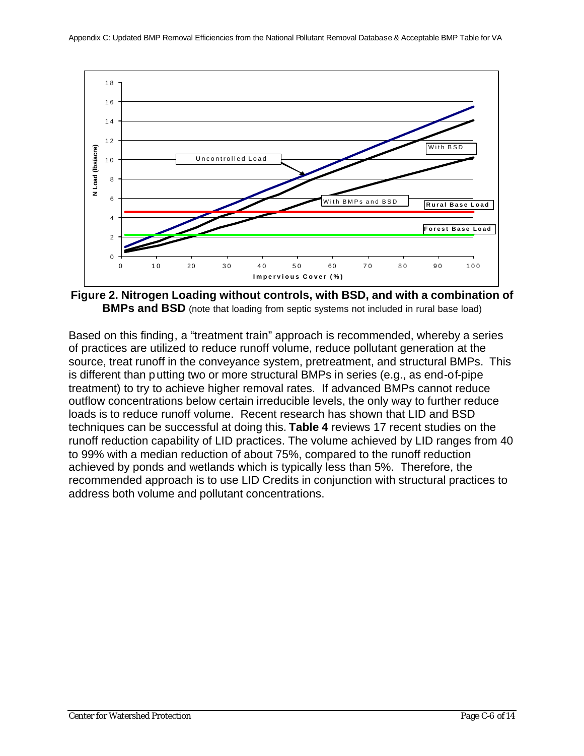

**Figure 2. Nitrogen Loading without controls, with BSD, and with a combination of BMPs and BSD** (note that loading from septic systems not included in rural base load)

Based on this finding, a "treatment train" approach is recommended, whereby a series of practices are utilized to reduce runoff volume, reduce pollutant generation at the source, treat runoff in the conveyance system, pretreatment, and structural BMPs. This is different than putting two or more structural BMPs in series (e.g., as end-of-pipe treatment) to try to achieve higher removal rates. If advanced BMPs cannot reduce outflow concentrations below certain irreducible levels, the only way to further reduce loads is to reduce runoff volume. Recent research has shown that LID and BSD techniques can be successful at doing this. **Table 4** reviews 17 recent studies on the runoff reduction capability of LID practices. The volume achieved by LID ranges from 40 to 99% with a median reduction of about 75%, compared to the runoff reduction achieved by ponds and wetlands which is typically less than 5%. Therefore, the recommended approach is to use LID Credits in conjunction with structural practices to address both volume and pollutant concentrations.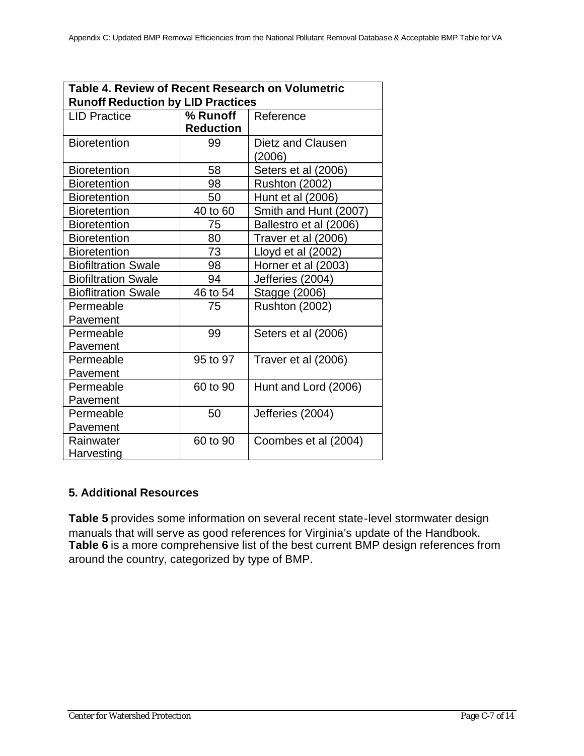| Table 4. Review of Recent Research on Volumetric |                  |                        |  |
|--------------------------------------------------|------------------|------------------------|--|
| <b>Runoff Reduction by LID Practices</b>         |                  |                        |  |
| <b>LID Practice</b>                              | % Runoff         | Reference              |  |
|                                                  | <b>Reduction</b> |                        |  |
| <b>Bioretention</b>                              | 99               | Dietz and Clausen      |  |
|                                                  |                  | (2006)                 |  |
| <b>Bioretention</b>                              | 58               | Seters et al (2006)    |  |
| <b>Bioretention</b>                              | 98               | <b>Rushton (2002)</b>  |  |
| <b>Bioretention</b>                              | 50               | Hunt et al (2006)      |  |
| <b>Bioretention</b>                              | 40 to 60         | Smith and Hunt (2007)  |  |
| <b>Bioretention</b>                              | 75               | Ballestro et al (2006) |  |
| <b>Bioretention</b>                              | 80               | Traver et al (2006)    |  |
| <b>Bioretention</b>                              | 73               | Lloyd et al (2002)     |  |
| <b>Biofiltration Swale</b>                       | 98               | Horner et al (2003)    |  |
| <b>Biofiltration Swale</b>                       | 94               | Jefferies (2004)       |  |
| <b>Bioflitration Swale</b>                       | 46 to 54         | Stagge (2006)          |  |
| Permeable                                        | 75               | <b>Rushton (2002)</b>  |  |
| Pavement                                         |                  |                        |  |
| Permeable                                        | 99               | Seters et al (2006)    |  |
| Pavement                                         |                  |                        |  |
| Permeable                                        | 95 to 97         | Traver et al (2006)    |  |
| Pavement                                         |                  |                        |  |
| Permeable                                        | 60 to 90         | Hunt and Lord (2006)   |  |
| Pavement                                         |                  |                        |  |
| Permeable                                        | 50               | Jefferies (2004)       |  |
| Pavement                                         |                  |                        |  |
| Rainwater                                        | 60 to 90         | Coombes et al (2004)   |  |
| Harvesting                                       |                  |                        |  |

# **5. Additional Resources**

**Table 5** provides some information on several recent state-level stormwater design manuals that will serve as good references for Virginia's update of the Handbook. Table 6 is a more comprehensive list of the best current BMP design references from around the country, categorized by type of BMP.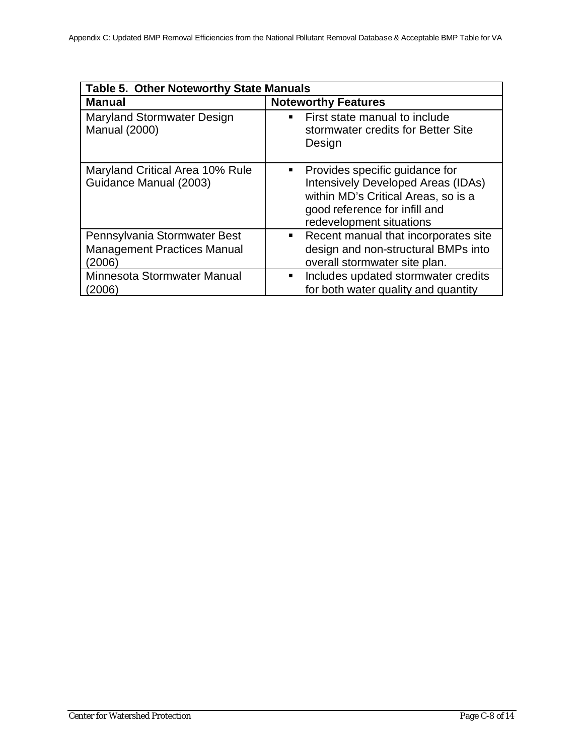| <b>Table 5. Other Noteworthy State Manuals</b>                               |                                                                                                                                                                                      |  |  |
|------------------------------------------------------------------------------|--------------------------------------------------------------------------------------------------------------------------------------------------------------------------------------|--|--|
| <b>Manual</b>                                                                | <b>Noteworthy Features</b>                                                                                                                                                           |  |  |
| Maryland Stormwater Design<br><b>Manual (2000)</b>                           | First state manual to include<br>stormwater credits for Better Site<br>Design                                                                                                        |  |  |
| Maryland Critical Area 10% Rule<br>Guidance Manual (2003)                    | Provides specific guidance for<br>п<br><b>Intensively Developed Areas (IDAs)</b><br>within MD's Critical Areas, so is a<br>good reference for infill and<br>redevelopment situations |  |  |
| Pennsylvania Stormwater Best<br><b>Management Practices Manual</b><br>(2006) | Recent manual that incorporates site<br>$\blacksquare$<br>design and non-structural BMPs into<br>overall stormwater site plan.                                                       |  |  |
| Minnesota Stormwater Manual<br>2006)                                         | Includes updated stormwater credits<br>٠<br>for both water quality and quantity                                                                                                      |  |  |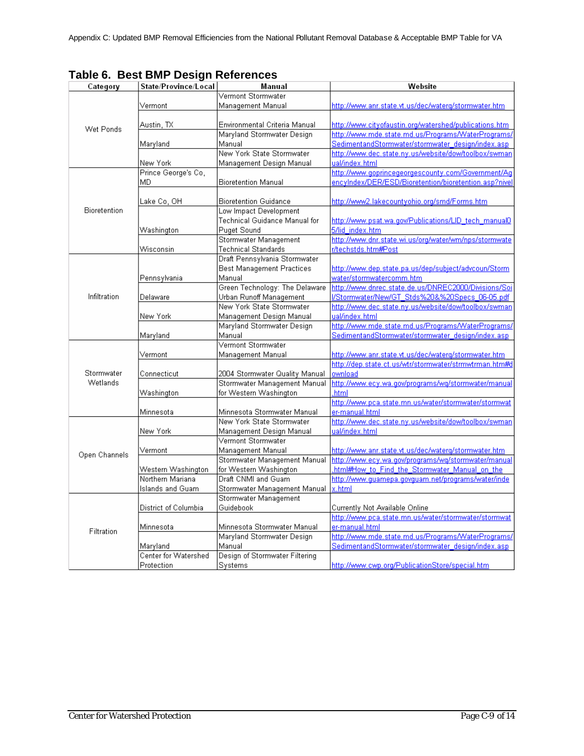| Category      | State/Province/Local | Manual                           | Website                                                       |
|---------------|----------------------|----------------------------------|---------------------------------------------------------------|
|               |                      | Vermont Stormwater               |                                                               |
|               | Vermont              | Management Manual                | http://www.anr.state.vt.us/dec/waterg/stormwater.htm          |
|               |                      |                                  |                                                               |
| Wet Ponds     | Austin, TX           | Environmental Criteria Manual    | <u>http://www.cityofaustin.org/watershed/publications.htm</u> |
|               |                      | Maryland Stormwater Design       | http://www.mde.state.md.us/Programs/WaterPrograms/            |
|               | Maryland             | Manual                           | SedimentandStormwater/stormwater_design/index.asp             |
|               |                      | New York State Stormwater        | http://www.dec.state.ny.us/website/dow/toolbox/swman          |
|               | New York             | Management Design Manual         | ual/index.html                                                |
|               | Prince George's Co,  |                                  | http://www.goprincegeorgescounty.com/Government/Ag            |
|               | MD                   | <b>Bioretention Manual</b>       | encyIndex/DER/ESD/Bioretention/bioretention.asp?nivel         |
|               |                      |                                  |                                                               |
|               | Lake Co, OH          | <b>Bioretention Guidance</b>     | http://www2.lakecountyohio.org/smd/Forms.htm                  |
| Bioretention  |                      | Low Impact Development           |                                                               |
|               |                      | Technical Guidance Manual for    | http://www.psat.wa.gov/Publications/LID_tech_manual0          |
|               | Washington           | Puget Sound                      | 5/lid_index.htm                                               |
|               |                      | Stormwater Management            | http://www.dnr.state.wi.us/org/water/wm/nps/stormwate         |
|               | Wisconsin            | Technical Standards              | r/techstds.htm#Post                                           |
|               |                      | Draft Pennsylvania Stormwater    |                                                               |
|               |                      | <b>Best Management Practices</b> | http://www.dep.state.pa.us/dep/subject/advcoun/Storm          |
|               | Pennsylvania         | Manual                           | water/stormwatercomm.htm                                      |
|               |                      | Green Technology: The Delaware   | http://www.dnrec.state.de.us/DNREC2000/Divisions/Soj          |
| Infiltration  | Delaware             | Urban Runoff Management          | I/Stormwater/New/GT Stds%20&%20Specs 06-05.pdf                |
|               |                      | New York State Stormwater        | http://www.dec.state.ny.us/website/dow/toolbox/swman          |
|               | New York             | Management Design Manual         | ual/index.html                                                |
|               |                      | Maryland Stormwater Design       | http://www.mde.state.md.us/Programs/WaterPrograms/            |
|               | Maryland             | Manual                           | SedimentandStormwater/stormwater_design/index.asp             |
|               |                      | Vermont Stormwater               |                                                               |
|               | Vermont              | Management Manual                | http://www.anr.state.vt.us/dec/waterq/stormwater.htm          |
|               |                      |                                  | http://dep.state.ct.us/wtr/stormwater/strmwtrman.htm#c        |
| Stormwater    | Connecticut          | 2004 Stormwater Quality Manual   | ownload                                                       |
| Wetlands      |                      | Stormwater Management Manual     | http://www.ecy.wa.gov/programs/wq/stormwater/manual           |
|               | Washington           | for Western Washington           | .html                                                         |
|               |                      |                                  | http://www.pca.state.mn.us/water/stormwater/stormwat          |
|               | Minnesota            | Minnesota Stormwater Manual      | er-manual.html                                                |
|               |                      | New York State Stormwater        | http://www.dec.state.ny.us/website/dow/toolbox/swman          |
|               | New York             | Management Design Manual         | ual/index.html                                                |
|               |                      | Vermont Stormwater               |                                                               |
| Open Channels | Vermont              | Management Manual                | http://www.anr.state.vt.us/dec/waterq/stormwater.htm          |
|               |                      | Stormwater Management Manual     | http://www.ecy.wa.gov/programs/wg/stormwater/manual           |
|               | Western Washington   | for Western Washington           | html#How to Find the Stormwater Manual on the                 |
|               | Northern Mariana     | Draft CNMI and Guam              | http://www.guamepa.govguam.net/programs/water/inde            |
|               | Islands and Guam     | Stormwater Management Manual     | x.html                                                        |
| Filtration    |                      | Stormwater Management            |                                                               |
|               | District of Columbia | Guidebook                        | Currently Not Available Online                                |
|               |                      |                                  | http://www.pca.state.mn.us/water/stormwater/stormwat          |
|               | Minnesota            | Minnesota Stormwater Manual      | er-manual.html                                                |
|               |                      | Maryland Stormwater Design       | http://www.mde.state.md.us/Programs/WaterPrograms/            |
|               | Maryland             | Manual                           | SedimentandStormwater/stormwater_design/index.asp             |
|               | Center for Watershed | Design of Stormwater Filtering   |                                                               |
|               | Protection           | Svstems                          | http://www.cwp.org/PublicationStore/special.html              |

# **Table 6. Best BMP Design References**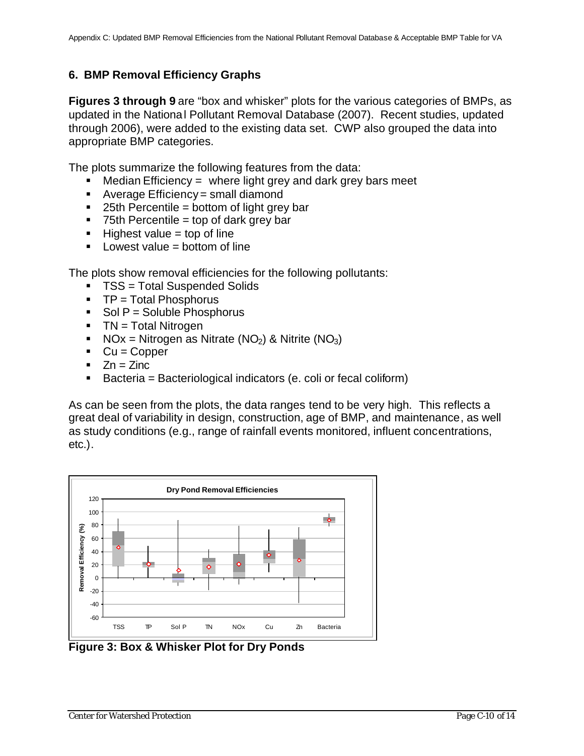# **6. BMP Removal Efficiency Graphs**

**Figures 3 through 9** are "box and whisker" plots for the various categories of BMPs, as updated in the National Pollutant Removal Database (2007). Recent studies, updated through 2006), were added to the existing data set. CWP also grouped the data into appropriate BMP categories.

The plots summarize the following features from the data:

- $\blacksquare$  Median Efficiency = where light grey and dark grey bars meet
- $\blacksquare$  Average Efficiency = small diamond
- $\blacksquare$  25th Percentile = bottom of light grey bar
- $\blacksquare$  75th Percentile = top of dark grey bar
- $\blacksquare$  Highest value = top of line
- $\blacksquare$  Lowest value = bottom of line

The plots show removal efficiencies for the following pollutants:

- TSS = Total Suspended Solids
- $\blacksquare$  TP = Total Phosphorus
- $\blacksquare$  Sol P = Soluble Phosphorus
- $\blacksquare$  TN = Total Nitrogen
- NOx = Nitrogen as Nitrate (NO<sub>2</sub>) & Nitrite (NO<sub>3</sub>)
- $\bullet$  Cu = Copper
- $\blacksquare$  Zn = Zinc
- ß Bacteria = Bacteriological indicators (e. coli or fecal coliform)

As can be seen from the plots, the data ranges tend to be very high. This reflects a great deal of variability in design, construction, age of BMP, and maintenance, as well as study conditions (e.g., range of rainfall events monitored, influent concentrations, etc.).



**Figure 3: Box & Whisker Plot for Dry Ponds**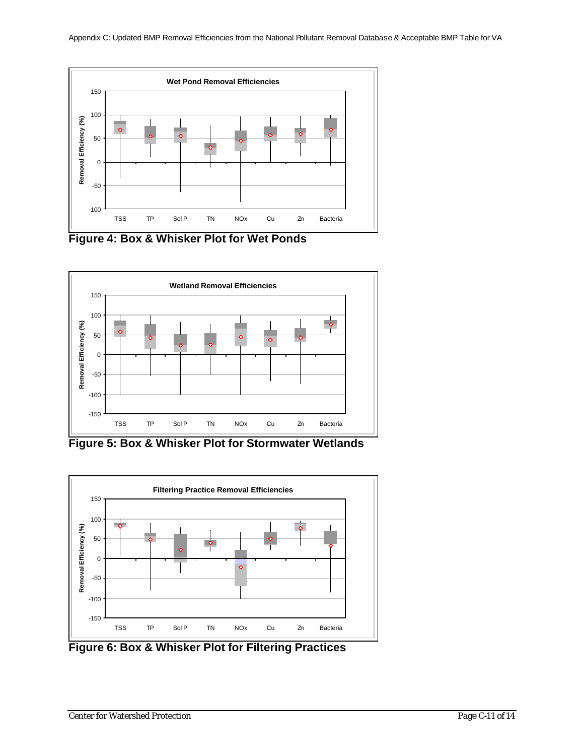

**Figure 4: Box & Whisker Plot for Wet Ponds**



**Figure 5: Box & Whisker Plot for Stormwater Wetlands**



**Figure 6: Box & Whisker Plot for Filtering Practices**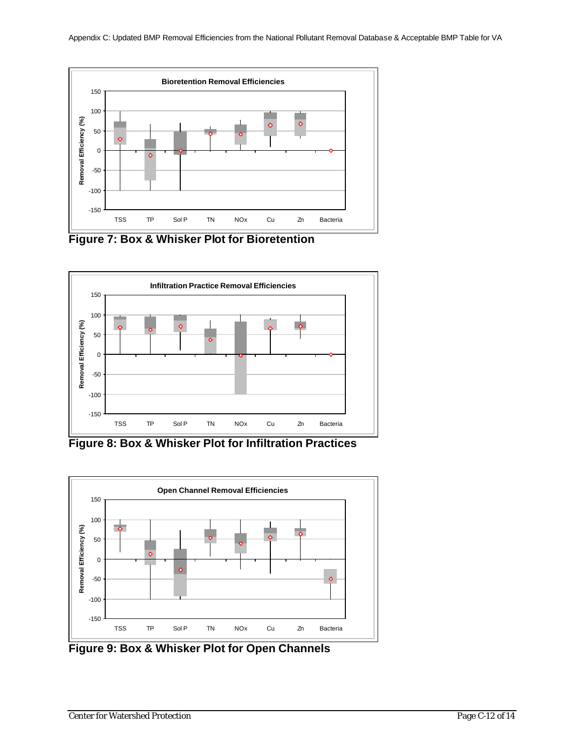

**Figure 7: Box & Whisker Plot for Bioretention**



**Figure 8: Box & Whisker Plot for Infiltration Practices**



**Figure 9: Box & Whisker Plot for Open Channels**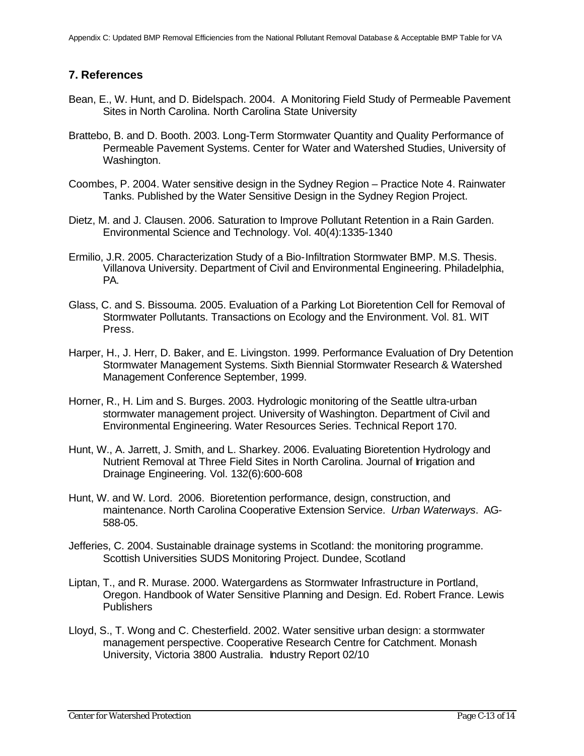#### **7. References**

- Bean, E., W. Hunt, and D. Bidelspach. 2004. A Monitoring Field Study of Permeable Pavement Sites in North Carolina. North Carolina State University
- Brattebo, B. and D. Booth. 2003. Long-Term Stormwater Quantity and Quality Performance of Permeable Pavement Systems. Center for Water and Watershed Studies, University of Washington.
- Coombes, P. 2004. Water sensitive design in the Sydney Region Practice Note 4. Rainwater Tanks. Published by the Water Sensitive Design in the Sydney Region Project.
- Dietz, M. and J. Clausen. 2006. Saturation to Improve Pollutant Retention in a Rain Garden. Environmental Science and Technology. Vol. 40(4):1335-1340
- Ermilio, J.R. 2005. Characterization Study of a Bio-Infiltration Stormwater BMP. M.S. Thesis. Villanova University. Department of Civil and Environmental Engineering. Philadelphia, PA.
- Glass, C. and S. Bissouma. 2005. Evaluation of a Parking Lot Bioretention Cell for Removal of Stormwater Pollutants. Transactions on Ecology and the Environment. Vol. 81. WIT Press.
- Harper, H., J. Herr, D. Baker, and E. Livingston. 1999. Performance Evaluation of Dry Detention Stormwater Management Systems. Sixth Biennial Stormwater Research & Watershed Management Conference September, 1999.
- Horner, R., H. Lim and S. Burges. 2003. Hydrologic monitoring of the Seattle ultra-urban stormwater management project. University of Washington. Department of Civil and Environmental Engineering. Water Resources Series. Technical Report 170.
- Hunt, W., A. Jarrett, J. Smith, and L. Sharkey. 2006. Evaluating Bioretention Hydrology and Nutrient Removal at Three Field Sites in North Carolina. Journal of Irrigation and Drainage Engineering. Vol. 132(6):600-608
- Hunt, W. and W. Lord. 2006. Bioretention performance, design, construction, and maintenance. North Carolina Cooperative Extension Service. *Urban Waterways*. AG-588-05.
- Jefferies, C. 2004. Sustainable drainage systems in Scotland: the monitoring programme. Scottish Universities SUDS Monitoring Project. Dundee, Scotland
- Liptan, T., and R. Murase. 2000. Watergardens as Stormwater Infrastructure in Portland, Oregon. Handbook of Water Sensitive Planning and Design. Ed. Robert France. Lewis **Publishers**
- Lloyd, S., T. Wong and C. Chesterfield. 2002. Water sensitive urban design: a stormwater management perspective. Cooperative Research Centre for Catchment. Monash University, Victoria 3800 Australia. Industry Report 02/10